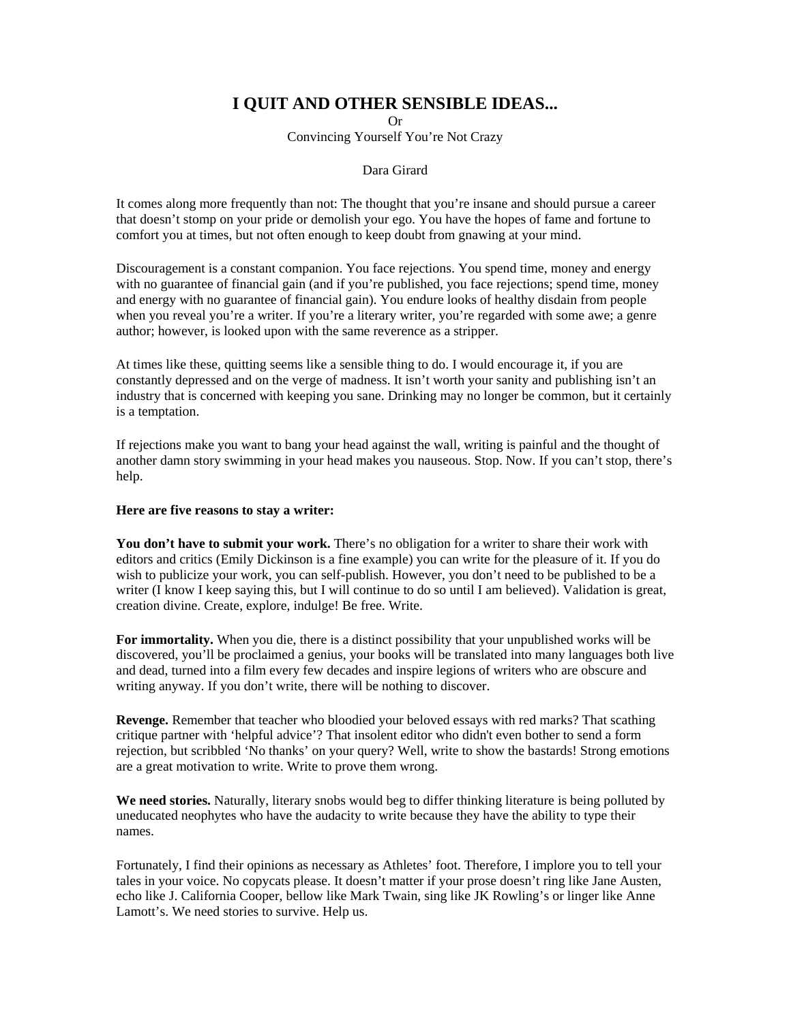## **I QUIT AND OTHER SENSIBLE IDEAS...**

Or Convincing Yourself You're Not Crazy

## Dara Girard

It comes along more frequently than not: The thought that you're insane and should pursue a career that doesn't stomp on your pride or demolish your ego. You have the hopes of fame and fortune to comfort you at times, but not often enough to keep doubt from gnawing at your mind.

Discouragement is a constant companion. You face rejections. You spend time, money and energy with no guarantee of financial gain (and if you're published, you face rejections; spend time, money and energy with no guarantee of financial gain). You endure looks of healthy disdain from people when you reveal you're a writer. If you're a literary writer, you're regarded with some awe; a genre author; however, is looked upon with the same reverence as a stripper.

At times like these, quitting seems like a sensible thing to do. I would encourage it, if you are constantly depressed and on the verge of madness. It isn't worth your sanity and publishing isn't an industry that is concerned with keeping you sane. Drinking may no longer be common, but it certainly is a temptation.

If rejections make you want to bang your head against the wall, writing is painful and the thought of another damn story swimming in your head makes you nauseous. Stop. Now. If you can't stop, there's help.

## **Here are five reasons to stay a writer:**

You don't have to submit your work. There's no obligation for a writer to share their work with editors and critics (Emily Dickinson is a fine example) you can write for the pleasure of it. If you do wish to publicize your work, you can self-publish. However, you don't need to be published to be a writer (I know I keep saying this, but I will continue to do so until I am believed). Validation is great, creation divine. Create, explore, indulge! Be free. Write.

**For immortality.** When you die, there is a distinct possibility that your unpublished works will be discovered, you'll be proclaimed a genius, your books will be translated into many languages both live and dead, turned into a film every few decades and inspire legions of writers who are obscure and writing anyway. If you don't write, there will be nothing to discover.

**Revenge.** Remember that teacher who bloodied your beloved essays with red marks? That scathing critique partner with 'helpful advice'? That insolent editor who didn't even bother to send a form rejection, but scribbled 'No thanks' on your query? Well, write to show the bastards! Strong emotions are a great motivation to write. Write to prove them wrong.

**We need stories.** Naturally, literary snobs would beg to differ thinking literature is being polluted by uneducated neophytes who have the audacity to write because they have the ability to type their names.

Fortunately, I find their opinions as necessary as Athletes' foot. Therefore, I implore you to tell your tales in your voice. No copycats please. It doesn't matter if your prose doesn't ring like Jane Austen, echo like J. California Cooper, bellow like Mark Twain, sing like JK Rowling's or linger like Anne Lamott's. We need stories to survive. Help us.